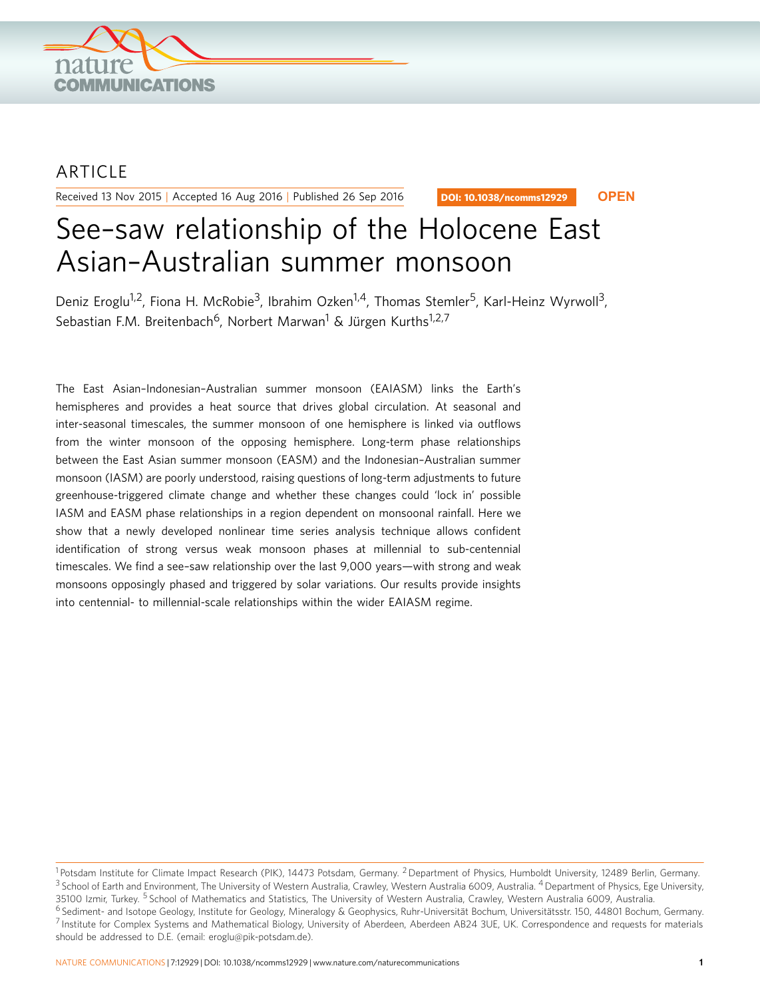

# ARTICLE

Received 13 Nov 2015 | Accepted 16 Aug 2016 | Published 26 Sep 2016

DOI: 10.1038/ncomms12929 **OPEN**

# See–saw relationship of the Holocene East Asian–Australian summer monsoon

Deniz Eroglu<sup>1,2</sup>, Fiona H. McRobie<sup>3</sup>, Ibrahim Ozken<sup>1,4</sup>, Thomas Stemler<sup>5</sup>, Karl-Heinz Wyrwoll<sup>3</sup>, Sebastian F.M. Breitenbach<sup>6</sup>, Norbert Marwan<sup>1</sup> & Jürgen Kurths<sup>1,2,7</sup>

The East Asian–Indonesian–Australian summer monsoon (EAIASM) links the Earth's hemispheres and provides a heat source that drives global circulation. At seasonal and inter-seasonal timescales, the summer monsoon of one hemisphere is linked via outflows from the winter monsoon of the opposing hemisphere. Long-term phase relationships between the East Asian summer monsoon (EASM) and the Indonesian–Australian summer monsoon (IASM) are poorly understood, raising questions of long-term adjustments to future greenhouse-triggered climate change and whether these changes could 'lock in' possible IASM and EASM phase relationships in a region dependent on monsoonal rainfall. Here we show that a newly developed nonlinear time series analysis technique allows confident identification of strong versus weak monsoon phases at millennial to sub-centennial timescales. We find a see–saw relationship over the last 9,000 years—with strong and weak monsoons opposingly phased and triggered by solar variations. Our results provide insights into centennial- to millennial-scale relationships within the wider EAIASM regime.

<sup>&</sup>lt;sup>1</sup> Potsdam Institute for Climate Impact Research (PIK), 14473 Potsdam, Germany. <sup>2</sup> Department of Physics, Humboldt University, 12489 Berlin, Germany. <sup>3</sup> School of Earth and Environment, The University of Western Australia, Crawley, Western Australia 6009, Australia. <sup>4</sup> Department of Physics, Ege University, 35100 Izmir, Turkey. <sup>5</sup> School of Mathematics and Statistics, The University of Western Australia, Crawley, Western Australia 6009, Australia. <sup>6</sup> Sediment- and Isotope Geology, Institute for Geology, Mineralogy & Geophysics, Ruhr-Universität Bochum, Universitätsstr. 150, 44801 Bochum, Germany. <sup>7</sup> Institute for Complex Systems and Mathematical Biology, University of Aberdeen, Aberdeen AB24 3UE, UK. Correspondence and requests for materials should be addressed to D.E. (email: [eroglu@pik-potsdam.de\)](mailto:eroglu@pik-potsdam.de).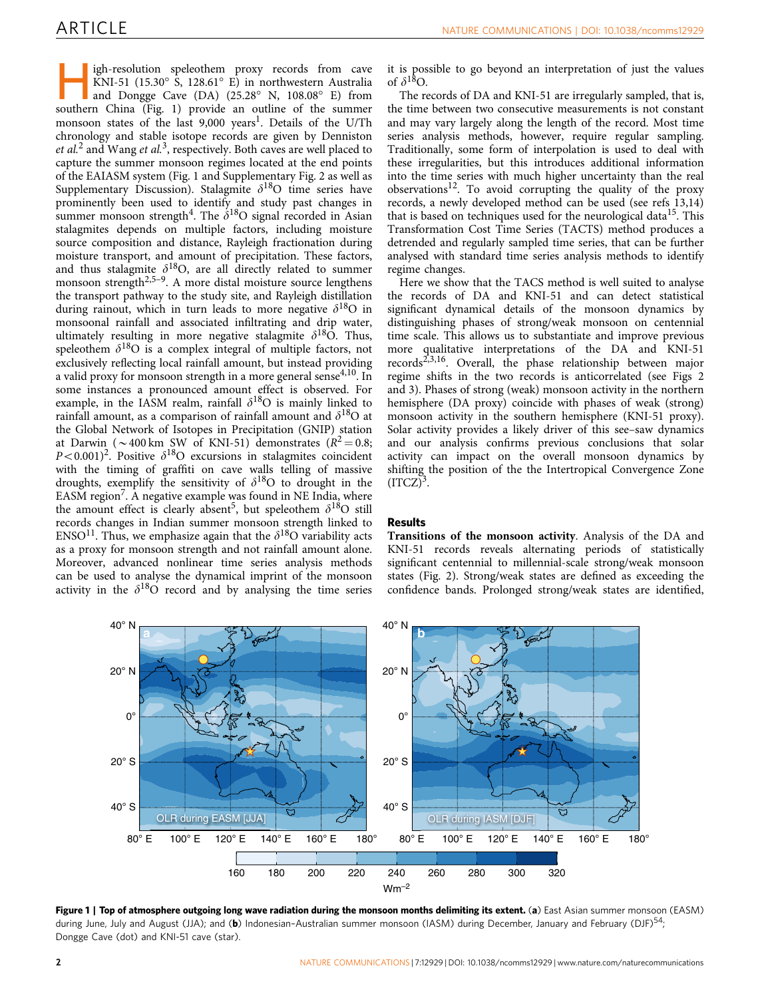igh-resolution speleothem proxy records from cave<br>
KNI-51 (15.30° S, 128.61° E) in northwestern Australia<br>
and Dongge Cave (DA) (25.28° N, 108.08° E) from<br>
southern China (Fig. 1) provide an outline of the summer KNI-51 (15.30 $^{\circ}$  S, 128.61 $^{\circ}$  E) in northwestern Australia southern China (Fig. 1) provide an outline of the summer monsoon states of the last  $9,000$  years<sup>1</sup>. Details of the U/Th chronology and stable isotope records are given by Denniston *et al.*<sup>[2](#page-5-0)</sup> and Wang *et al.*<sup>3</sup>, respectively. Both caves are well placed to capture the summer monsoon regimes located at the end points of the EAIASM system (Fig. 1 and Supplementary Fig. 2 as well as Supplementary Discussion). Stalagmite  $\delta^{18}O$  time series have prominently been used to identify and study past changes in summer monsoon strength<sup>4</sup>. The  $\delta^{18}$ O signal recorded in Asian stalagmites depends on multiple factors, including moisture source composition and distance, Rayleigh fractionation during moisture transport, and amount of precipitation. These factors, and thus stalagmite  $\delta^{18}O$ , are all directly related to summer monsoon strength<sup>2,5–9</sup>. A more distal moisture source lengthens the transport pathway to the study site, and Rayleigh distillation during rainout, which in turn leads to more negative  $\delta^{18}O$  in monsoonal rainfall and associated infiltrating and drip water, ultimately resulting in more negative stalagmite  $\delta^{18}O$ . Thus, speleothem  $\delta^{18}O$  is a complex integral of multiple factors, not exclusively reflecting local rainfall amount, but instead providing a valid proxy for monsoon strength in a more general sense  $4,10$ . In some instances a pronounced amount effect is observed. For example, in the IASM realm, rainfall  $\delta^{18}O$  is mainly linked to rainfall amount, as a comparison of rainfall amount and  $\delta^{18}O$  at the Global Network of Isotopes in Precipitation (GNIP) station at Darwin ( $\sim$  400 km SW of KNI-51) demonstrates ( $R^2 = 0.8$ ;  $P < 0.001$ <sup>[2](#page-5-0)</sup>. Positive  $\delta^{18}$ O excursions in stalagmites coincident with the timing of graffiti on cave walls telling of massive droughts, exemplify the sensitivity of  $\delta^{18}O$  to drought in the EASM region<sup>[7](#page-5-0)</sup>. A negative example was found in NE India, where the amount effect is clearly absent<sup>5</sup>, but speleothem  $\delta^{18}O$  still records changes in Indian summer monsoon strength linked to ENSO<sup>11</sup>. Thus, we emphasize again that the  $\delta^{18}$ O variability acts as a proxy for monsoon strength and not rainfall amount alone. Moreover, advanced nonlinear time series analysis methods can be used to analyse the dynamical imprint of the monsoon activity in the  $\delta^{18}$ O record and by analysing the time series

it is possible to go beyond an interpretation of just the values of  $\delta^{18}$ O.

The records of DA and KNI-51 are irregularly sampled, that is, the time between two consecutive measurements is not constant and may vary largely along the length of the record. Most time series analysis methods, however, require regular sampling. Traditionally, some form of interpolation is used to deal with these irregularities, but this introduces additional information into the time series with much higher uncertainty than the real observations[12](#page-6-0). To avoid corrupting the quality of the proxy records, a newly developed method can be used (see [refs 13,14](#page-6-0)) that is based on techniques used for the neurological data<sup>[15](#page-6-0)</sup>. This Transformation Cost Time Series (TACTS) method produces a detrended and regularly sampled time series, that can be further analysed with standard time series analysis methods to identify regime changes.

Here we show that the TACS method is well suited to analyse the records of DA and KNI-51 and can detect statistical significant dynamical details of the monsoon dynamics by distinguishing phases of strong/weak monsoon on centennial time scale. This allows us to substantiate and improve previous more qualitative interpretations of the DA and KNI-51 records<sup>[2,3,16](#page-5-0)</sup>. Overall, the phase relationship between major regime shifts in the two records is anticorrelated (see [Figs 2](#page-2-0) [and 3\)](#page-2-0). Phases of strong (weak) monsoon activity in the northern hemisphere (DA proxy) coincide with phases of weak (strong) monsoon activity in the southern hemisphere (KNI-51 proxy). Solar activity provides a likely driver of this see–saw dynamics and our analysis confirms previous conclusions that solar activity can impact on the overall monsoon dynamics by shifting the position of the the Intertropical Convergence Zone  $(TTCZ)^3$ .

# **Results**

Transitions of the monsoon activity. Analysis of the DA and KNI-51 records reveals alternating periods of statistically significant centennial to millennial-scale strong/weak monsoon states ([Fig. 2](#page-2-0)). Strong/weak states are defined as exceeding the confidence bands. Prolonged strong/weak states are identified,



Figure 1 | Top of atmosphere outgoing long wave radiation during the monsoon months delimiting its extent. (a) East Asian summer monsoon (EASM) during June, July and August (JJA); and (b) Indonesian-Australian summer monsoon (IASM) during December, January and February (DJF)<sup>[54](#page-6-0)</sup>; Dongge Cave (dot) and KNI-51 cave (star).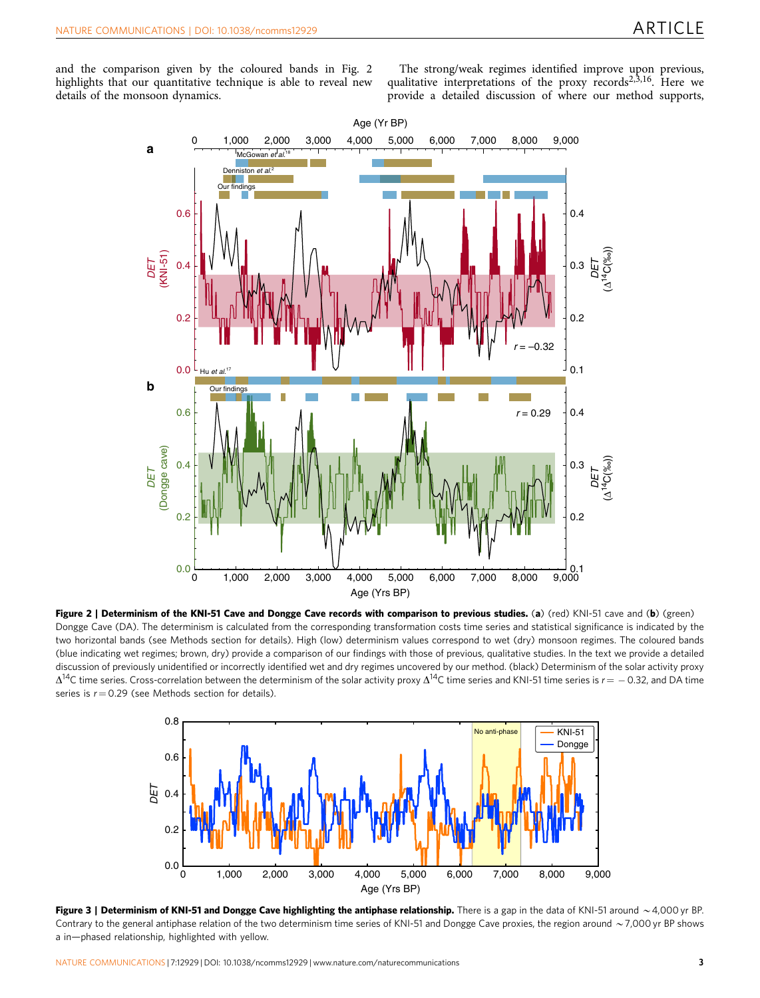<span id="page-2-0"></span>and the comparison given by the coloured bands in Fig. 2 highlights that our quantitative technique is able to reveal new details of the monsoon dynamics.

The strong/weak regimes identified improve upon previous, qualitative interpretations of the proxy records<sup>2,3,16</sup>. Here we provide a detailed discussion of where our method supports,



Figure 2 | Determinism of the KNI-51 Cave and Dongge Cave records with comparison to previous studies. (a) (red) KNI-51 cave and (b) (green) Dongge Cave (DA). The determinism is calculated from the corresponding transformation costs time series and statistical significance is indicated by the two horizontal bands (see Methods section for details). High (low) determinism values correspond to wet (dry) monsoon regimes. The coloured bands (blue indicating wet regimes; brown, dry) provide a comparison of our findings with those of previous, qualitative studies. In the text we provide a detailed discussion of previously unidentified or incorrectly identified wet and dry regimes uncovered by our method. (black) Determinism of the solar activity proxy  $\Delta^{14}$ C time series. Cross-correlation between the determinism of the solar activity proxy  $\Delta^{14}$ C time series and KNI-51 time series is r  $=$   $-$  0.32, and DA time series is  $r = 0.29$  (see Methods section for details).



Figure 3 | Determinism of KNI-51 and Dongge Cave highlighting the antiphase relationship. There is a gap in the data of KNI-51 around  $\sim$  4,000 yr BP. Contrary to the general antiphase relation of the two determinism time series of KNI-51 and Dongge Cave proxies, the region around  $\sim$  7,000 yr BP shows a in—phased relationship, highlighted with yellow.

NATURE COMMUNICATIONS | 7:12929 | DOI: 10.1038/ncomms12929 | [www.nature.com/naturecommunications](http://www.nature.com/naturecommunications) 3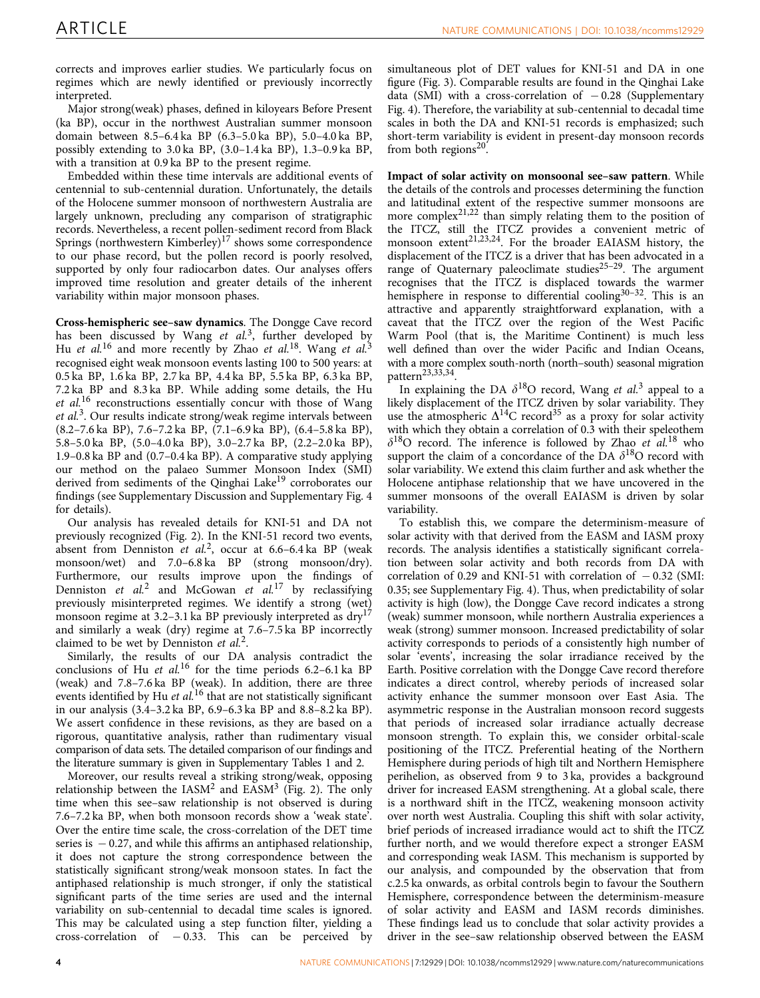corrects and improves earlier studies. We particularly focus on regimes which are newly identified or previously incorrectly interpreted.

Major strong(weak) phases, defined in kiloyears Before Present (ka BP), occur in the northwest Australian summer monsoon domain between 8.5–6.4 ka BP (6.3–5.0 ka BP), 5.0–4.0 ka BP, possibly extending to 3.0 ka BP, (3.0–1.4 ka BP), 1.3–0.9 ka BP, with a transition at 0.9 ka BP to the present regime.

Embedded within these time intervals are additional events of centennial to sub-centennial duration. Unfortunately, the details of the Holocene summer monsoon of northwestern Australia are largely unknown, precluding any comparison of stratigraphic records. Nevertheless, a recent pollen-sediment record from Black Springs (northwestern Kimberley) $17$  shows some correspondence to our phase record, but the pollen record is poorly resolved, supported by only four radiocarbon dates. Our analyses offers improved time resolution and greater details of the inherent variability within major monsoon phases.

Cross-hemispheric see–saw dynamics. The Dongge Cave record has been discussed by Wang et  $al^3$ , further developed by Hu et al.<sup>[16](#page-6-0)</sup> and more recently by Zhao et al.<sup>[18](#page-6-0)</sup>. Wang et al.<sup>[3](#page-5-0)</sup> recognised eight weak monsoon events lasting 100 to 500 years: at 0.5 ka BP, 1.6 ka BP, 2.7 ka BP, 4.4 ka BP, 5.5 ka BP, 6.3 ka BP, 7.2 ka BP and 8.3 ka BP. While adding some details, the Hu et al.<sup>[16](#page-6-0)</sup> reconstructions essentially concur with those of Wang et  $al^3$ . Our results indicate strong/weak regime intervals between (8.2–7.6 ka BP), 7.6–7.2 ka BP, (7.1–6.9 ka BP), (6.4–5.8 ka BP), 5.8–5.0 ka BP, (5.0–4.0 ka BP), 3.0–2.7 ka BP, (2.2–2.0 ka BP), 1.9–0.8 ka BP and (0.7–0.4 ka BP). A comparative study applying our method on the palaeo Summer Monsoon Index (SMI) derived from sediments of the Qinghai Lake<sup>[19](#page-6-0)</sup> corroborates our findings (see Supplementary Discussion and Supplementary Fig. 4 for details).

Our analysis has revealed details for KNI-51 and DA not previously recognized ([Fig. 2](#page-2-0)). In the KNI-51 record two events, absent from Denniston et  $al$ <sup>2</sup>, occur at 6.6-6.4 ka BP (weak monsoon/wet) and 7.0–6.8 ka BP (strong monsoon/dry). Furthermore, our results improve upon the findings of Denniston et al.<sup>[2](#page-5-0)</sup> and McGowan et al.<sup>[17](#page-6-0)</sup> by reclassifying previously misinterpreted regimes. We identify a strong (wet) monsoon regime at 3.2-3.1 ka BP previously interpreted as dry<sup>17</sup> and similarly a weak (dry) regime at 7.6–7.5 ka BP incorrectly claimed to be wet by Denniston et  $al$ <sup>2</sup>.

Similarly, the results of our DA analysis contradict the conclusions of Hu et  $al$ .<sup>[16](#page-6-0)</sup> for the time periods 6.2–6.1 ka BP (weak) and 7.8–7.6 ka BP (weak). In addition, there are three events identified by Hu et  $al$ .<sup>[16](#page-6-0)</sup> that are not statistically significant in our analysis (3.4–3.2 ka BP, 6.9–6.3 ka BP and 8.8–8.2 ka BP). We assert confidence in these revisions, as they are based on a rigorous, quantitative analysis, rather than rudimentary visual comparison of data sets. The detailed comparison of our findings and the literature summary is given in Supplementary Tables 1 and 2.

Moreover, our results reveal a striking strong/weak, opposing relationship between the  $IASM<sup>2</sup>$  $IASM<sup>2</sup>$  $IASM<sup>2</sup>$  and  $EASM<sup>3</sup>$  $EASM<sup>3</sup>$  $EASM<sup>3</sup>$  [\(Fig. 2\)](#page-2-0). The only time when this see–saw relationship is not observed is during 7.6–7.2 ka BP, when both monsoon records show a 'weak state'. Over the entire time scale, the cross-correlation of the DET time series is  $-0.27$ , and while this affirms an antiphased relationship, it does not capture the strong correspondence between the statistically significant strong/weak monsoon states. In fact the antiphased relationship is much stronger, if only the statistical significant parts of the time series are used and the internal variability on sub-centennial to decadal time scales is ignored. This may be calculated using a step function filter, yielding a  $cross-correlation$  of  $-0.33$ . This can be perceived by

simultaneous plot of DET values for KNI-51 and DA in one figure [\(Fig. 3](#page-2-0)). Comparable results are found in the Qinghai Lake data (SMI) with a cross-correlation of  $-0.28$  (Supplementary Fig. 4). Therefore, the variability at sub-centennial to decadal time scales in both the DA and KNI-51 records is emphasized; such short-term variability is evident in present-day monsoon records from both regions $20$ .

Impact of solar activity on monsoonal see–saw pattern. While the details of the controls and processes determining the function and latitudinal extent of the respective summer monsoons are more complex<sup>[21,22](#page-6-0)</sup> than simply relating them to the position of the ITCZ, still the ITCZ provides a convenient metric of monsoon extent<sup>21,23,24</sup>. For the broader EAIASM history, the displacement of the ITCZ is a driver that has been advocated in a range of Quaternary paleoclimate studies<sup>25-29</sup>. The argument recognises that the ITCZ is displaced towards the warmer hemisphere in response to differential cooling<sup>30-32</sup>. This is an attractive and apparently straightforward explanation, with a caveat that the ITCZ over the region of the West Pacific Warm Pool (that is, the Maritime Continent) is much less well defined than over the wider Pacific and Indian Oceans, with a more complex south-north (north–south) seasonal migration pattern[23,33,34](#page-6-0).

In explaining the DA  $\delta^{18}$ O record, Wang *et al.*<sup>[3](#page-5-0)</sup> appeal to a likely displacement of the ITCZ driven by solar variability. They use the atmospheric  $\Delta^{14}$ C record<sup>[35](#page-6-0)</sup> as a proxy for solar activity with which they obtain a correlation of 0.3 with their speleothem  $\delta^{18}$  $\delta^{18}$  $\delta^{18}$ O record. The inference is followed by Zhao *et al.*<sup>18</sup> who support the claim of a concordance of the DA  $\delta^{18}$ O record with solar variability. We extend this claim further and ask whether the Holocene antiphase relationship that we have uncovered in the summer monsoons of the overall EAIASM is driven by solar variability.

To establish this, we compare the determinism-measure of solar activity with that derived from the EASM and IASM proxy records. The analysis identifies a statistically significant correlation between solar activity and both records from DA with correlation of 0.29 and KNI-51 with correlation of  $-0.32$  (SMI: 0.35; see Supplementary Fig. 4). Thus, when predictability of solar activity is high (low), the Dongge Cave record indicates a strong (weak) summer monsoon, while northern Australia experiences a weak (strong) summer monsoon. Increased predictability of solar activity corresponds to periods of a consistently high number of solar 'events', increasing the solar irradiance received by the Earth. Positive correlation with the Dongge Cave record therefore indicates a direct control, whereby periods of increased solar activity enhance the summer monsoon over East Asia. The asymmetric response in the Australian monsoon record suggests that periods of increased solar irradiance actually decrease monsoon strength. To explain this, we consider orbital-scale positioning of the ITCZ. Preferential heating of the Northern Hemisphere during periods of high tilt and Northern Hemisphere perihelion, as observed from 9 to 3 ka, provides a background driver for increased EASM strengthening. At a global scale, there is a northward shift in the ITCZ, weakening monsoon activity over north west Australia. Coupling this shift with solar activity, brief periods of increased irradiance would act to shift the ITCZ further north, and we would therefore expect a stronger EASM and corresponding weak IASM. This mechanism is supported by our analysis, and compounded by the observation that from c.2.5 ka onwards, as orbital controls begin to favour the Southern Hemisphere, correspondence between the determinism-measure of solar activity and EASM and IASM records diminishes. These findings lead us to conclude that solar activity provides a driver in the see–saw relationship observed between the EASM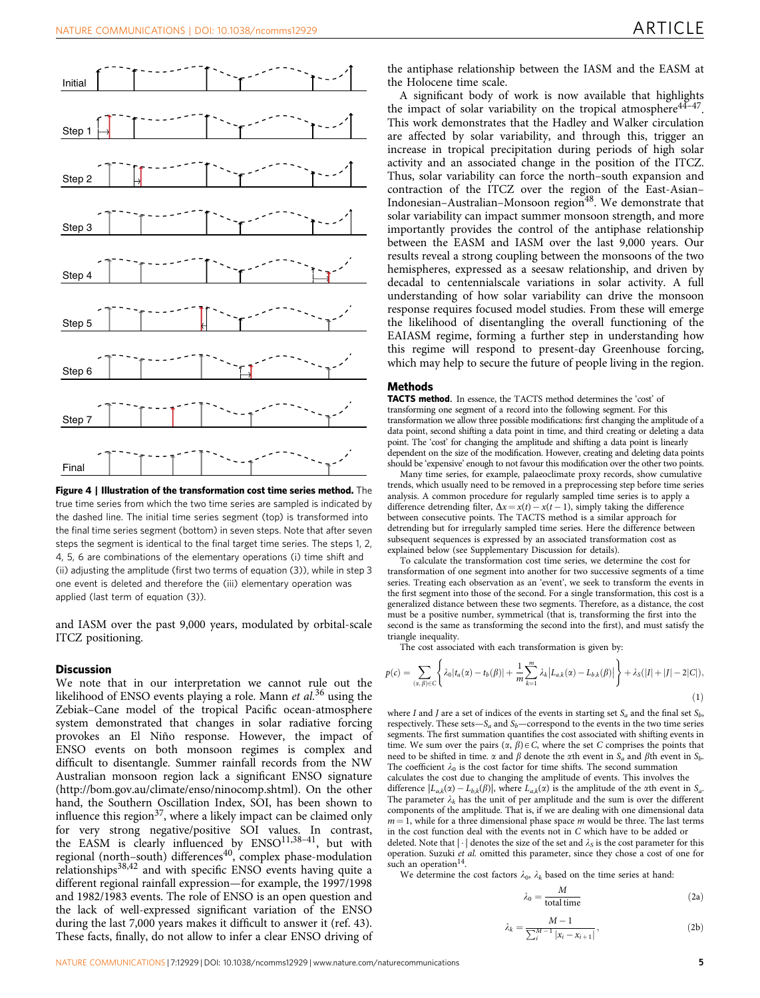<span id="page-4-0"></span>

Figure 4 | Illustration of the transformation cost time series method. The true time series from which the two time series are sampled is indicated by the dashed line. The initial time series segment (top) is transformed into the final time series segment (bottom) in seven steps. Note that after seven steps the segment is identical to the final target time series. The steps 1, 2, 4, 5, 6 are combinations of the elementary operations (i) time shift and (ii) adjusting the amplitude (first two terms of equation (3)), while in step 3 one event is deleted and therefore the (iii) elementary operation was applied (last term of equation (3)).

and IASM over the past 9,000 years, modulated by orbital-scale ITCZ positioning.

## **Discussion**

We note that in our interpretation we cannot rule out the likelihood of ENSO events playing a role. Mann et al.<sup>[36](#page-6-0)</sup> using the Zebiak–Cane model of the tropical Pacific ocean-atmosphere system demonstrated that changes in solar radiative forcing provokes an El Niño response. However, the impact of ENSO events on both monsoon regimes is complex and difficult to disentangle. Summer rainfall records from the NW Australian monsoon region lack a significant ENSO signature (<http://bom.gov.au/climate/enso/ninocomp.shtml>). On the other hand, the Southern Oscillation Index, SOI, has been shown to influence this region<sup>[37](#page-6-0)</sup>, where a likely impact can be claimed only for very strong negative/positive SOI values. In contrast, the EASM is clearly influenced by ENSO<sup>11,38-41</sup>, but with regional (north-south) differences<sup>[40](#page-6-0)</sup>, complex phase-modulation relationships[38,42](#page-6-0) and with specific ENSO events having quite a different regional rainfall expression—for example, the 1997/1998 and 1982/1983 events. The role of ENSO is an open question and the lack of well-expressed significant variation of the ENSO during the last 7,000 years makes it difficult to answer it [\(ref. 43](#page-6-0)). These facts, finally, do not allow to infer a clear ENSO driving of

the antiphase relationship between the IASM and the EASM at the Holocene time scale.

A significant body of work is now available that highlights the impact of solar variability on the tropical atmosphere<sup>44–47</sup>. This work demonstrates that the Hadley and Walker circulation are affected by solar variability, and through this, trigger an increase in tropical precipitation during periods of high solar activity and an associated change in the position of the ITCZ. Thus, solar variability can force the north–south expansion and contraction of the ITCZ over the region of the East-Asian– Indonesian–Australian–Monsoon region<sup>[48](#page-6-0)</sup>. We demonstrate that solar variability can impact summer monsoon strength, and more importantly provides the control of the antiphase relationship between the EASM and IASM over the last 9,000 years. Our results reveal a strong coupling between the monsoons of the two hemispheres, expressed as a seesaw relationship, and driven by decadal to centennialscale variations in solar activity. A full understanding of how solar variability can drive the monsoon response requires focused model studies. From these will emerge the likelihood of disentangling the overall functioning of the EAIASM regime, forming a further step in understanding how this regime will respond to present-day Greenhouse forcing, which may help to secure the future of people living in the region.

#### Methods

TACTS method. In essence, the TACTS method determines the 'cost' of transforming one segment of a record into the following segment. For this transformation we allow three possible modifications: first changing the amplitude of a data point, second shifting a data point in time, and third creating or deleting a data point. The 'cost' for changing the amplitude and shifting a data point is linearly dependent on the size of the modification. However, creating and deleting data points should be 'expensive' enough to not favour this modification over the other two points.

Many time series, for example, palaeoclimate proxy records, show cumulative trends, which usually need to be removed in a preprocessing step before time series analysis. A common procedure for regularly sampled time series is to apply a difference detrending filter,  $\Delta x = x(t) - x(t-1)$ , simply taking the difference between consecutive points. The TACTS method is a similar approach for detrending but for irregularly sampled time series. Here the difference between subsequent sequences is expressed by an associated transformation cost as explained below (see Supplementary Discussion for details).

To calculate the transformation cost time series, we determine the cost for transformation of one segment into another for two successive segments of a time series. Treating each observation as an 'event', we seek to transform the events in the first segment into those of the second. For a single transformation, this cost is a generalized distance between these two segments. Therefore, as a distance, the cost must be a positive number, symmetrical (that is, transforming the first into the second is the same as transforming the second into the first), and must satisfy the triangle inequality.

The cost associated with each transformation is given by:

$$
p(c) = \sum_{(\alpha,\beta)\in C} \left\{ \lambda_0 |t_a(\alpha) - t_b(\beta)| + \frac{1}{m} \sum_{k=1}^m \lambda_k |L_{a,k}(\alpha) - L_{b,k}(\beta)| \right\} + \lambda_S(|I| + |I| - 2|C|),
$$
\n(1)

where I and J are a set of indices of the events in starting set  $S_a$  and the final set  $S_b$ , respectively. These sets— $S_a$  and  $S_b$ —correspond to the events in the two time series segments. The first summation quantifies the cost associated with shifting events in time. We sum over the pairs  $(\alpha, \beta) \in C$ , where the set C comprises the points that need to be shifted in time.  $\alpha$  and  $\beta$  denote the  $\alpha$ th event in  $S_a$  and  $\beta$ th event in  $S_b$ . The coefficient  $\lambda_0$  is the cost factor for time shifts. The second summation calculates the cost due to changing the amplitude of events. This involves the difference  $|L_{a,k}(\alpha) - L_{b,k}(\beta)|$ , where  $L_{a,k}(\alpha)$  is the amplitude of the  $\alpha$ th event in  $S_a$ . The parameter  $\lambda_k$  has the unit of per amplitude and the sum is over the different components of the amplitude. That is, if we are dealing with one dimensional data  $m = 1$ , while for a three dimensional phase space m would be three. The last terms in the cost function deal with the events not in C which have to be added or deleted. Note that  $|\cdot|$  denotes the size of the set and  $\lambda_S$  is the cost parameter for this operation. Suzuki et al. omitted this parameter, since they chose a cost of one for such an operation<sup>14</sup>.

We determine the cost factors  $\lambda_0$ ,  $\lambda_k$  based on the time series at hand:

$$
\lambda_0 = \frac{M}{\text{total time}}\tag{2a}
$$

$$
\lambda_k = \frac{M - 1}{\sum_{i}^{M-1} |x_i - x_{i+1}|},
$$
\n(2b)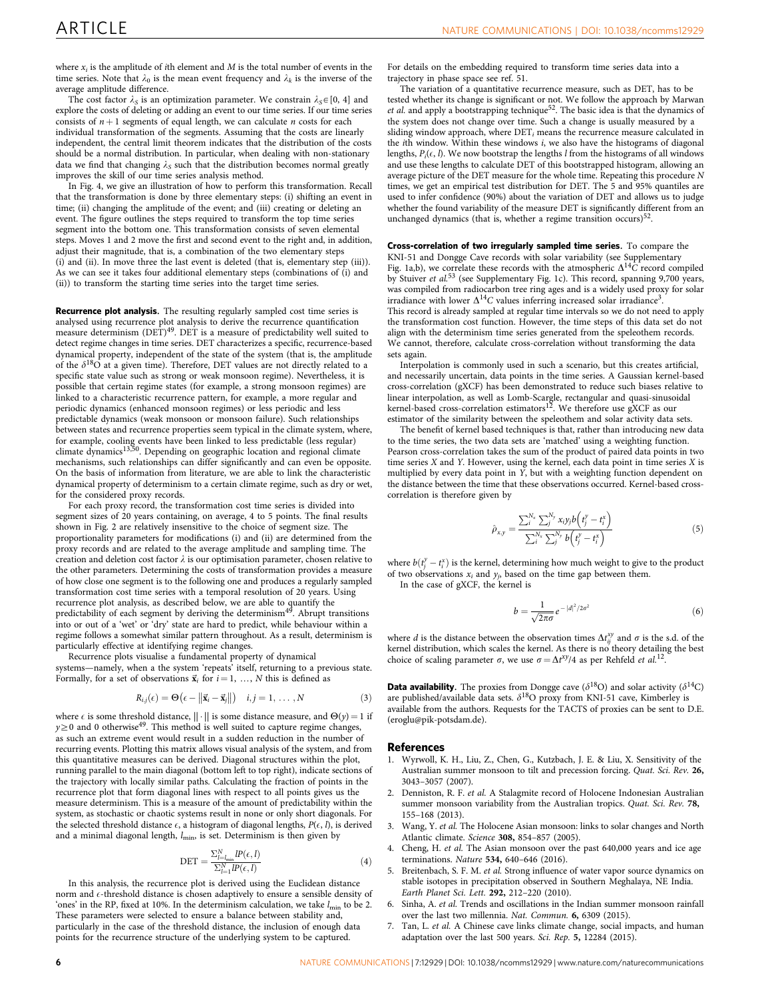<span id="page-5-0"></span>where  $x_i$  is the amplitude of *i*th element and  $M$  is the total number of events in the time series. Note that  $\lambda_0$  is the mean event frequency and  $\lambda_k$  is the inverse of the average amplitude difference.

The cost factor  $\lambda_S$  is an optimization parameter. We constrain  $\lambda_S \in [0, 4]$  and explore the costs of deleting or adding an event to our time series. If our time series consists of  $n + 1$  segments of equal length, we can calculate n costs for each individual transformation of the segments. Assuming that the costs are linearly independent, the central limit theorem indicates that the distribution of the costs should be a normal distribution. In particular, when dealing with non-stationary data we find that changing  $\lambda_S$  such that the distribution becomes normal greatly improves the skill of our time series analysis method.

In [Fig. 4](#page-4-0), we give an illustration of how to perform this transformation. Recall that the transformation is done by three elementary steps: (i) shifting an event in time; (ii) changing the amplitude of the event; and (iii) creating or deleting an event. The figure outlines the steps required to transform the top time series segment into the bottom one. This transformation consists of seven elemental steps. Moves 1 and 2 move the first and second event to the right and, in addition, adjust their magnitude, that is, a combination of the two elementary steps (i) and (ii). In move three the last event is deleted (that is, elementary step (iii)). As we can see it takes four additional elementary steps (combinations of (i) and (ii)) to transform the starting time series into the target time series.

Recurrence plot analysis. The resulting regularly sampled cost time series is analysed using recurrence plot analysis to derive the recurrence quantification measure determinism  $(DET)^{49}$ . DET is a measure of predictability well suited to detect regime changes in time series. DET characterizes a specific, recurrence-based dynamical property, independent of the state of the system (that is, the amplitude of the  $\delta^{18}O$  at a given time). Therefore, DET values are not directly related to a specific state value such as strong or weak monsoon regime). Nevertheless, it is possible that certain regime states (for example, a strong monsoon regimes) are linked to a characteristic recurrence pattern, for example, a more regular and periodic dynamics (enhanced monsoon regimes) or less periodic and less predictable dynamics (weak monsoon or monsoon failure). Such relationships between states and recurrence properties seem typical in the climate system, where, for example, cooling events have been linked to less predictable (less regular)<br>climate dynamics<sup>[13,50](#page-6-0)</sup>. Depending on geographic location and regional climate mechanisms, such relationships can differ significantly and can even be opposite. On the basis of information from literature, we are able to link the characteristic dynamical property of determinism to a certain climate regime, such as dry or wet, for the considered proxy records.

For each proxy record, the transformation cost time series is divided into segment sizes of 20 years containing, on average, 4 to 5 points. The final results shown in [Fig. 2](#page-2-0) are relatively insensitive to the choice of segment size. The proportionality parameters for modifications (i) and (ii) are determined from the proxy records and are related to the average amplitude and sampling time. The creation and deletion cost factor  $\lambda$  is our optimisation parameter, chosen relative to the other parameters. Determining the costs of transformation provides a measure of how close one segment is to the following one and produces a regularly sampled transformation cost time series with a temporal resolution of 20 years. Using recurrence plot analysis, as described below, we are able to quantify the<br>predictability of each segment by deriving the determinism<sup>[49](#page-6-0)</sup>. Abrupt transitions into or out of a 'wet' or 'dry' state are hard to predict, while behaviour within a regime follows a somewhat similar pattern throughout. As a result, determinism is particularly effective at identifying regime changes.

Recurrence plots visualise a fundamental property of dynamical systems—namely, when a the system 'repeats' itself, returning to a previous state. Formally, for a set of observations  $\vec{x}_i$  for  $i = 1, ..., N$  this is defined as

$$
R_{ij}(\epsilon) = \Theta\big(\epsilon - \big\|\vec{\mathbf{x}}_i - \vec{\mathbf{x}}_j\big\|\big) \quad i, j = 1, \ldots, N \tag{3}
$$

where  $\epsilon$  is some threshold distance,  $|| \cdot ||$  is some distance measure, and  $\Theta(y) = 1$  if  $y \ge 0$  and 0 otherwise<sup>[49](#page-6-0)</sup>. This method is well suited to capture regime changes, as such an extreme event would result in a sudden reduction in the number of recurring events. Plotting this matrix allows visual analysis of the system, and from this quantitative measures can be derived. Diagonal structures within the plot, running parallel to the main diagonal (bottom left to top right), indicate sections of the trajectory with locally similar paths. Calculating the fraction of points in the recurrence plot that form diagonal lines with respect to all points gives us the measure determinism. This is a measure of the amount of predictability within the system, as stochastic or chaotic systems result in none or only short diagonals. For the selected threshold distance  $\epsilon$ , a histogram of diagonal lengths,  $P(\epsilon, l)$ , is derived and a minimal diagonal length,  $l_{\text{min}}$ , is set. Determinism is then given by

$$
DET = \frac{\sum_{l=l_{\min}}^{N} lP(\epsilon, l)}{\sum_{l=1}^{N} lP(\epsilon, l)} \tag{4}
$$

In this analysis, the recurrence plot is derived using the Euclidean distance norm and  $\epsilon$ -threshold distance is chosen adaptively to ensure a sensible density of 'ones' in the RP, fixed at 10%. In the determinism calculation, we take  $l_{\text{min}}$  to be 2. These parameters were selected to ensure a balance between stability and, particularly in the case of the threshold distance, the inclusion of enough data points for the recurrence structure of the underlying system to be captured.

For details on the embedding required to transform time series data into a trajectory in phase space see [ref. 51.](#page-6-0)

The variation of a quantitative recurrence measure, such as DET, has to be tested whether its change is significant or not. We follow the approach by Marwan<br>*et al*. and apply a bootstrapping technique<sup>[52](#page-6-0)</sup>. The basic idea is that the dynamics of the system does not change over time. Such a change is usually measured by a sliding window approach, where  $DEF$  means the recurrence measure calculated in the *i*th window. Within these windows  $i$ , we also have the histograms of diagonal lengths,  $P_i(\epsilon, l)$ . We now bootstrap the lengths l from the histograms of all windows and use these lengths to calculate DET of this bootstrapped histogram, allowing an average picture of the DET measure for the whole time. Repeating this procedure N times, we get an empirical test distribution for DET. The 5 and 95% quantiles are used to infer confidence (90%) about the variation of DET and allows us to judge whether the found variability of the measure DET is significantly different from an unchanged dynamics (that is, whether a regime transition occurs)<sup>[52](#page-6-0)</sup>.

Cross-correlation of two irregularly sampled time series. To compare the KNI-51 and Dongge Cave records with solar variability (see Supplementary Fig. 1a,b), we correlate these records with the atmospheric  $\Delta^{14}$ C record compiled by Stuiver et al.<sup>[53](#page-6-0)</sup> (see Supplementary Fig. 1c). This record, spanning 9,700 years, was compiled from radiocarbon tree ring ages and is a widely used proxy for solar irradiance with lower  $\Delta^{14}C$  values inferring increased solar irradiance<sup>3</sup> This record is already sampled at regular time intervals so we do not need to apply the transformation cost function. However, the time steps of this data set do not align with the determinism time series generated from the speleothem records. We cannot, therefore, calculate cross-correlation without transforming the data sets again.

Interpolation is commonly used in such a scenario, but this creates artificial, and necessarily uncertain, data points in the time series. A Gaussian kernel-based cross-correlation (gXCF) has been demonstrated to reduce such biases relative to linear interpolation, as well as Lomb-Scargle, rectangular and quasi-sinusoidal<br>kernel-based cross-correlation estimators<sup>[12](#page-6-0)</sup>. We therefore use gXCF as our estimator of the similarity between the speleothem and solar activity data sets.

The benefit of kernel based techniques is that, rather than introducing new data to the time series, the two data sets are 'matched' using a weighting function. Pearson cross-correlation takes the sum of the product of paired data points in two time series  $X$  and  $Y$ . However, using the kernel, each data point in time series  $X$  is multiplied by every data point in  $\overline{Y}$ , but with a weighting function dependent on the distance between the time that these observations occurred. Kernel-based crosscorrelation is therefore given by

$$
\hat{\rho}_{x,y} = \frac{\sum_{i}^{N_x} \sum_{j}^{N_y} x_{i} y_{j} b\left(t_{j}^{y} - t_{i}^{x}\right)}{\sum_{i}^{N_x} \sum_{j}^{N_y} b\left(t_{j}^{y} - t_{i}^{x}\right)}
$$
(5)

where  $b(t_j^y - t_i^x)$  is the kernel, determining how much weight to give to the product of two observations  $x_i$  and  $y_j$ , based on the time gap between them. In the case of gXCF, the kernel is

$$
b = \frac{1}{\sqrt{2\pi\sigma}} e^{-|d|^2/2\sigma^2}
$$
 (6)

where *d* is the distance between the observation times  $\Delta t_{ij}^{xy}$  and  $\sigma$  is the s.d. of the kernel distribution, which scales the kernel. As there is no theory detailing the best choice of scaling parameter  $\sigma$ , we use  $\sigma = \Delta t^{xy}/4$  as per Rehfeld *et al.*<sup>12</sup>.

**Data availability.** The proxies from Dongge cave ( $\delta^{18}O$ ) and solar activity ( $\delta^{14}C$ ) are published/available data sets.  $\delta^{18}O$  proxy from KNI-51 cave, Kimberley is available from the authors. Requests for the TACTS of proxies can be sent to D.E. (eroglu@pik-potsdam.de).

#### **References**

- 1. Wyrwoll, K. H., Liu, Z., Chen, G., Kutzbach, J. E. & Liu, X. Sensitivity of the Australian summer monsoon to tilt and precession forcing. Quat. Sci. Rev. 26, 3043–3057 (2007).
- 2. Denniston, R. F. et al. A Stalagmite record of Holocene Indonesian Australian summer monsoon variability from the Australian tropics. Quat. Sci. Rev. 78, 155–168 (2013).
- 3. Wang, Y. et al. The Holocene Asian monsoon: links to solar changes and North Atlantic climate. Science 308, 854-857 (2005).
- Cheng, H. et al. The Asian monsoon over the past 640,000 years and ice age terminations. Nature 534, 640–646 (2016).
- Breitenbach, S. F. M. et al. Strong influence of water vapor source dynamics on stable isotopes in precipitation observed in Southern Meghalaya, NE India. Earth Planet Sci. Lett. 292, 212–220 (2010).
- 6. Sinha, A. et al. Trends and oscillations in the Indian summer monsoon rainfall over the last two millennia. Nat. Commun. 6, 6309 (2015).
- 7. Tan, L. et al. A Chinese cave links climate change, social impacts, and human adaptation over the last 500 years. Sci. Rep. 5, 12284 (2015).